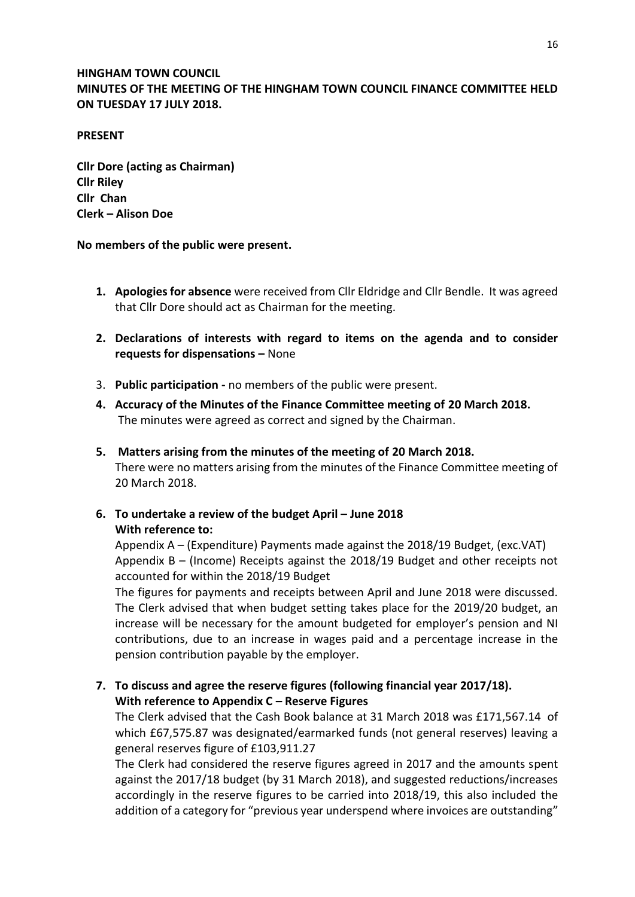## **HINGHAM TOWN COUNCIL MINUTES OF THE MEETING OF THE HINGHAM TOWN COUNCIL FINANCE COMMITTEE HELD ON TUESDAY 17 JULY 2018.**

#### **PRESENT**

**Cllr Dore (acting as Chairman) Cllr Riley Cllr Chan Clerk – Alison Doe**

#### **No members of the public were present.**

- **1. Apologies for absence** were received from Cllr Eldridge and Cllr Bendle. It was agreed that Cllr Dore should act as Chairman for the meeting.
- **2. Declarations of interests with regard to items on the agenda and to consider requests for dispensations –** None
- 3. **Public participation -** no members of the public were present.
- **4. Accuracy of the Minutes of the Finance Committee meeting of 20 March 2018.** The minutes were agreed as correct and signed by the Chairman.
- **5. Matters arising from the minutes of the meeting of 20 March 2018.** There were no matters arising from the minutes of the Finance Committee meeting of 20 March 2018.
- **6.** To undertake a review of the budget April June 2018 **With reference to:**

Appendix A – (Expenditure) Payments made against the 2018/19 Budget, (exc.VAT) Appendix B – (Income) Receipts against the 2018/19 Budget and other receipts not accounted for within the 2018/19 Budget

The figures for payments and receipts between April and June 2018 were discussed. The Clerk advised that when budget setting takes place for the 2019/20 budget, an increase will be necessary for the amount budgeted for employer's pension and NI contributions, due to an increase in wages paid and a percentage increase in the pension contribution payable by the employer.

**7. To discuss and agree the reserve figures (following financial year 2017/18). With reference to Appendix C – Reserve Figures** 

The Clerk advised that the Cash Book balance at 31 March 2018 was £171,567.14 of which £67,575.87 was designated/earmarked funds (not general reserves) leaving a general reserves figure of £103,911.27

The Clerk had considered the reserve figures agreed in 2017 and the amounts spent against the 2017/18 budget (by 31 March 2018), and suggested reductions/increases accordingly in the reserve figures to be carried into 2018/19, this also included the addition of a category for "previous year underspend where invoices are outstanding"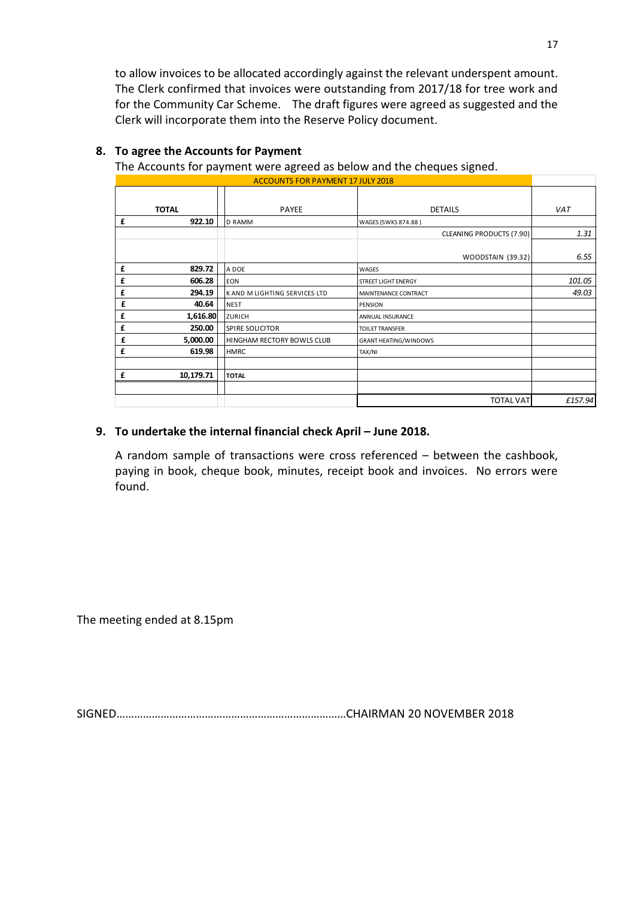to allow invoices to be allocated accordingly against the relevant underspent amount. The Clerk confirmed that invoices were outstanding from 2017/18 for tree work and for the Community Car Scheme. The draft figures were agreed as suggested and the Clerk will incorporate them into the Reserve Policy document.

| ັ<br><b>ACCOUNTS FOR PAYMENT 17 JULY 2018</b> |                               |                              |         |  |  |  |  |  |
|-----------------------------------------------|-------------------------------|------------------------------|---------|--|--|--|--|--|
|                                               |                               |                              |         |  |  |  |  |  |
| <b>TOTAL</b>                                  | PAYEE                         | <b>DETAILS</b>               | VAT     |  |  |  |  |  |
| £<br>922.10                                   | <b>D RAMM</b>                 | WAGES (5WKS 874.88)          |         |  |  |  |  |  |
|                                               |                               | CLEANING PRODUCTS (7.90)     | 1.31    |  |  |  |  |  |
|                                               |                               |                              |         |  |  |  |  |  |
|                                               |                               | WOODSTAIN (39.32)            | 6.55    |  |  |  |  |  |
| 829.72<br>£                                   | A DOE                         | <b>WAGES</b>                 |         |  |  |  |  |  |
| 606.28<br>£                                   | <b>EON</b>                    | <b>STREET LIGHT ENERGY</b>   | 101.05  |  |  |  |  |  |
| 294.19<br>£                                   | K AND M LIGHTING SERVICES LTD | <b>MAINTENANCE CONTRACT</b>  | 49.03   |  |  |  |  |  |
| £<br>40.64                                    | <b>NEST</b>                   | PENSION                      |         |  |  |  |  |  |
| 1,616.80<br>£                                 | <b>ZURICH</b>                 | ANNUAL INSURANCE             |         |  |  |  |  |  |
| 250.00<br>£                                   | <b>SPIRE SOLICITOR</b>        | <b>TOILET TRANSFER</b>       |         |  |  |  |  |  |
| £<br>5,000.00                                 | HINGHAM RECTORY BOWLS CLUB    | <b>GRANT HEATING/WINDOWS</b> |         |  |  |  |  |  |
| £<br>619.98                                   | <b>HMRC</b>                   | TAX/NI                       |         |  |  |  |  |  |
|                                               |                               |                              |         |  |  |  |  |  |
| 10,179.71<br>£                                | <b>TOTAL</b>                  |                              |         |  |  |  |  |  |
|                                               |                               |                              |         |  |  |  |  |  |
|                                               |                               | <b>TOTAL VAT</b>             | £157.94 |  |  |  |  |  |

### **8. To agree the Accounts for Payment**

The Accounts for payment were agreed as below and the cheques signed.

#### **9. To undertake the internal financial check April – June 2018.**

A random sample of transactions were cross referenced – between the cashbook, paying in book, cheque book, minutes, receipt book and invoices. No errors were found.

The meeting ended at 8.15pm

SIGNED……………………………………………………………………CHAIRMAN 20 NOVEMBER 2018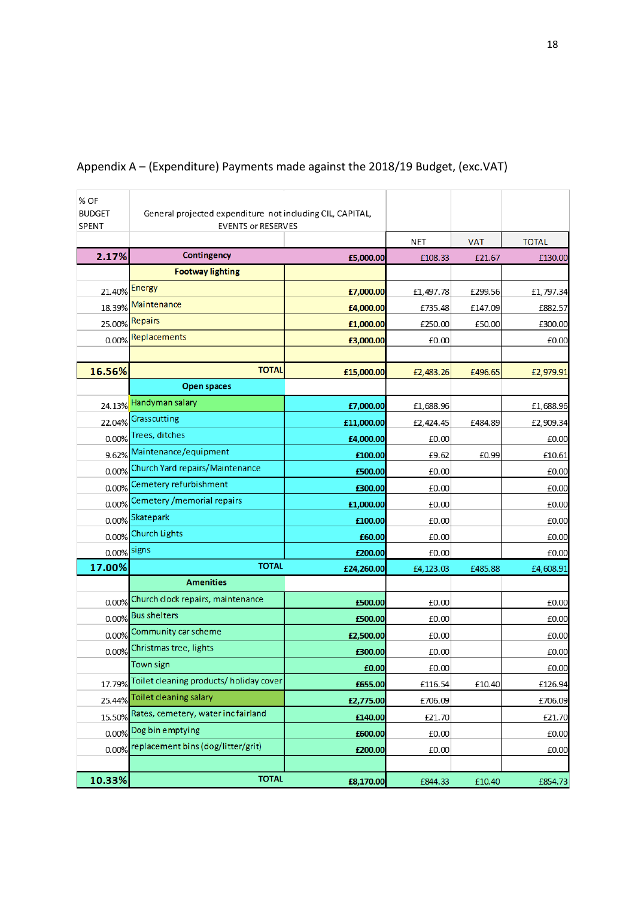| % OF<br><b>BUDGET</b><br>SPENT | General projected expenditure not including CIL, CAPITAL,<br><b>EVENTS or RESERVES</b> |            |           |            |              |
|--------------------------------|----------------------------------------------------------------------------------------|------------|-----------|------------|--------------|
|                                |                                                                                        |            | NET       | <b>VAT</b> | <b>TOTAL</b> |
| 2.17%                          | Contingency                                                                            | £5,000.00  | £108.33   | £21.67     | £130.00      |
|                                | <b>Footway lighting</b>                                                                |            |           |            |              |
| 21.40%                         | <b>Energy</b>                                                                          | £7,000.00  | £1,497.78 | £299.56    | £1,797.34    |
| 18.39%                         | Maintenance                                                                            | £4,000.00  | £735.48   | £147.09    | £882.57      |
| 25.00%                         | <b>Repairs</b>                                                                         | £1,000.00  | £250.00   | £50.00     | £300.00      |
| 0.00%                          | Replacements                                                                           | £3,000.00  | £0.00     |            | £0.00        |
|                                |                                                                                        |            |           |            |              |
| 16.56%                         | <b>TOTAL</b>                                                                           | £15,000.00 | £2,483.26 | £496.65    | £2,979.91    |
|                                | <b>Open spaces</b>                                                                     |            |           |            |              |
| 24.13%                         | Handyman salary                                                                        | £7,000.00  | £1,688.96 |            | £1,688.96    |
| 22.04%                         | Grasscutting                                                                           | £11,000.00 | £2,424.45 | £484.89    | £2,909.34    |
| 0.00%                          | Trees, ditches                                                                         | £4,000.00  | £0.00     |            | £0.00        |
| 9.62%                          | Maintenance/equipment                                                                  | £100.00    | £9.62     | £0.99      | £10.61       |
| 0.00%                          | Church Yard repairs/Maintenance                                                        | £500.00    | £0.00     |            | £0.00        |
| 0.00%                          | Cemetery refurbishment                                                                 | £300.00    | £0.00     |            | £0.00        |
| 0.00%                          | Cemetery / memorial repairs                                                            | £1,000.00  | £0.00     |            | £0.00        |
| 0.00%                          | Skatepark                                                                              | £100.00    | £0.00     |            | £0.00        |
| 0.00%                          | <b>Church Lights</b>                                                                   | £60.00     | £0.00     |            | £0.00        |
| 0.00%                          | signs                                                                                  | £200.00    | £0.00     |            | £0.00        |
| 17.00%                         | <b>TOTAL</b>                                                                           | £24,260.00 | £4,123.03 | £485.88    | £4,608.91    |
|                                | <b>Amenities</b>                                                                       |            |           |            |              |
| 0.00%                          | Church clock repairs, maintenance                                                      | £500.00    | £0.00     |            | £0.00        |
| 0.00%                          | <b>Bus shelters</b>                                                                    | £500.00    | £0.00     |            | £0.00        |
| 0.00%                          | Community car scheme                                                                   | £2,500.00  | £0.00     |            | £0.00        |
| 0.00%                          | Christmas tree, lights                                                                 | £300.00    | £0.00     |            | £0.00        |
|                                | <b>Town sign</b>                                                                       | £0.00      | £0.00     |            | £0.00        |
| 17.79%                         | Toilet cleaning products/holiday cover                                                 | £655.00    | £116.54   | £10.40     | £126.94      |
| 25.44%                         | Toilet cleaning salary                                                                 | £2,775.00  | £706.09   |            | £706.09      |
| 15.50%                         | Rates, cemetery, water incfairland                                                     | £140.00    | £21.70    |            | £21.70       |
| 0.00%                          | Dog bin emptying                                                                       | £600.00    | £0.00     |            | £0.00        |
|                                | 0.00% replacement bins (dog/litter/grit)                                               | £200.00    | £0.00     |            | £0.00        |
|                                |                                                                                        |            |           |            |              |
| 10.33%                         | <b>TOTAL</b>                                                                           | £8,170.00  | £844.33   | £10.40     | £854.73      |

## Appendix A – (Expenditure) Payments made against the 2018/19 Budget, (exc.VAT)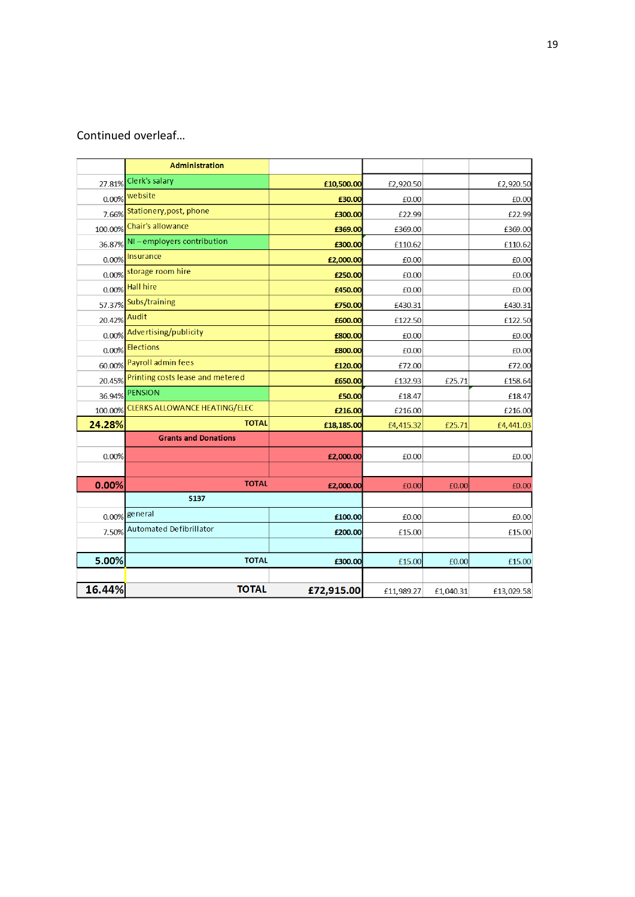# Continued overleaf…

|         | <b>Administration</b>                   |            |            |           |            |
|---------|-----------------------------------------|------------|------------|-----------|------------|
| 27.81%  | Clerk's salary                          | £10,500.00 | £2,920.50  |           | £2,920.50  |
| 0.00%   | website                                 | £30.00     | £0.00      |           | £0.00      |
|         | 7.66% Stationery, post, phone           | £300.00    | £22.99     |           | £22.99     |
| 100.00% | Chair's allowance                       | £369.00    | £369.00    |           | £369.00    |
|         | 36.87% NI-employers contribution        | £300.00    | £110.62    |           | £110.62    |
| 0.00%   | Insurance                               | £2,000.00  | £0.00      |           | £0.00      |
|         | 0.00% storage room hire                 | £250.00    | £0.00      |           | £0.00      |
| 0.00%   | <b>Hall hire</b>                        | £450.00    | £0.00      |           | £0.00      |
|         | 57.37% Subs/training                    | £750.00    | £430.31    |           | £430.31    |
| 20.42%  | Audit                                   | £600.00    | £122.50    |           | £122.50    |
|         | 0.00% Advertising/publicity             | £800.00    | £0.00      |           | £0.00      |
|         | 0.00% Elections                         | £800.00    | £0.00      |           | £0.00      |
| 60.00%  | Payroll admin fees                      | £120.00    | £72.00     |           | £72.00     |
|         | 20.45% Printing costs lease and metered | £650.00    | £132.93    | £25.71    | £158.64    |
| 36.94%  | <b>PENSION</b>                          | £50.00     | £18.47     |           | £18.47     |
| 100.00% | <b>CLERKS ALLOWANCE HEATING/ELEC</b>    | £216.00    | £216.00    |           | £216.00    |
| 24.28%  | <b>TOTAL</b>                            | £18,185.00 | £4,415.32  | £25.71    | £4,441.03  |
|         | <b>Grants and Donations</b>             |            |            |           |            |
| 0.00%   |                                         | £2,000.00  | £0.00      |           | £0.00      |
|         |                                         |            |            |           |            |
| 0.00%   | <b>TOTAL</b>                            | £2,000.00  | £0.00      | £0.00     | £0.00      |
|         | <b>S137</b>                             |            |            |           |            |
|         | 0.00% general                           | £100.00    | £0.00      |           | £0.00      |
| 7.50%   | <b>Automated Defibrillator</b>          | £200.00    | £15.00     |           | £15.00     |
|         |                                         |            |            |           |            |
| 5.00%   | <b>TOTAL</b>                            | £300.00    | £15.00     | £0.00     | £15.00     |
|         |                                         |            |            |           |            |
| 16.44%  | <b>TOTAL</b>                            | £72,915.00 | £11,989.27 | £1,040.31 | £13,029.58 |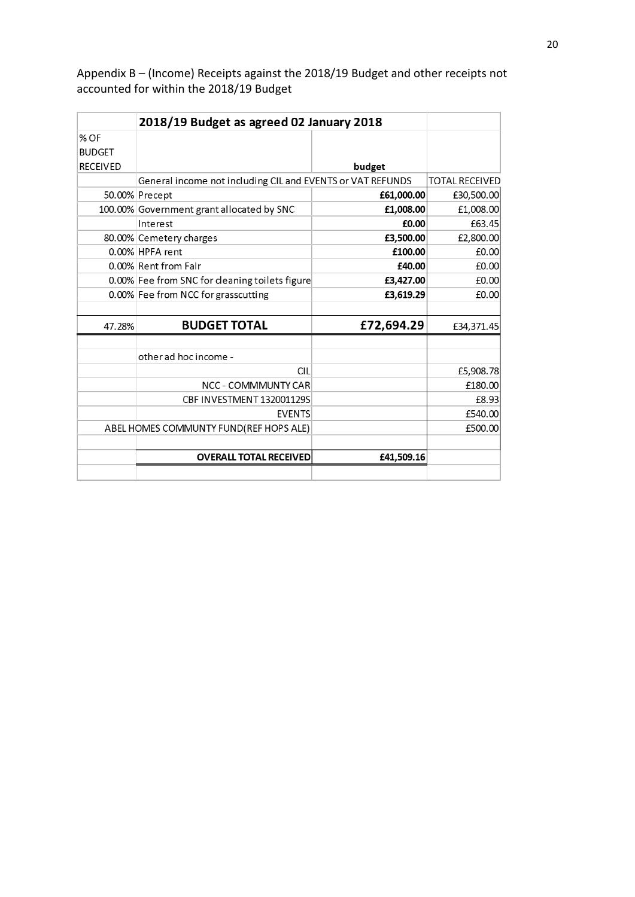Appendix B – (Income) Receipts against the 2018/19 Budget and other receipts not accounted for within the 2018/19 Budget

|                 | 2018/19 Budget as agreed 02 January 2018                   |            |                       |
|-----------------|------------------------------------------------------------|------------|-----------------------|
| % OF            |                                                            |            |                       |
| <b>BUDGET</b>   |                                                            |            |                       |
| <b>RECEIVED</b> |                                                            | budget     |                       |
|                 | General income not including CIL and EVENTS or VAT REFUNDS |            | <b>TOTAL RECEIVED</b> |
|                 | 50.00% Precept                                             | £61,000.00 | £30,500.00            |
|                 | 100.00% Government grant allocated by SNC                  | £1,008.00  | £1,008.00             |
|                 | Interest                                                   | £0.00      | £63.45                |
|                 | 80.00% Cemetery charges                                    | £3,500.00  | £2,800.00             |
|                 | 0.00% HPFA rent                                            | £100.00    | £0.00                 |
|                 | 0.00% Rent from Fair                                       | £40.00     | £0.00                 |
|                 | 0.00% Fee from SNC for cleaning toilets figure             | £3,427.00  | £0.00                 |
|                 | 0.00% Fee from NCC for grasscutting                        | £3,619.29  | £0.00                 |
|                 |                                                            |            |                       |
| 47.28%          | <b>BUDGET TOTAL</b>                                        | £72,694.29 | £34,371.45            |
|                 | other ad hoc income -                                      |            |                       |
|                 | <b>CIL</b>                                                 |            |                       |
|                 |                                                            |            | £5,908.78             |
|                 | NCC - COMMMUNTY CAR                                        |            | £180.00               |
|                 | CBF INVESTMENT 132001129S                                  |            | £8.93                 |
|                 | <b>EVENTS</b>                                              |            | £540.00               |
|                 | ABEL HOMES COMMUNTY FUND(REF HOPS ALE)                     |            | £500.00               |
|                 | <b>OVERALL TOTAL RECEIVED</b>                              | £41,509.16 |                       |
|                 |                                                            |            |                       |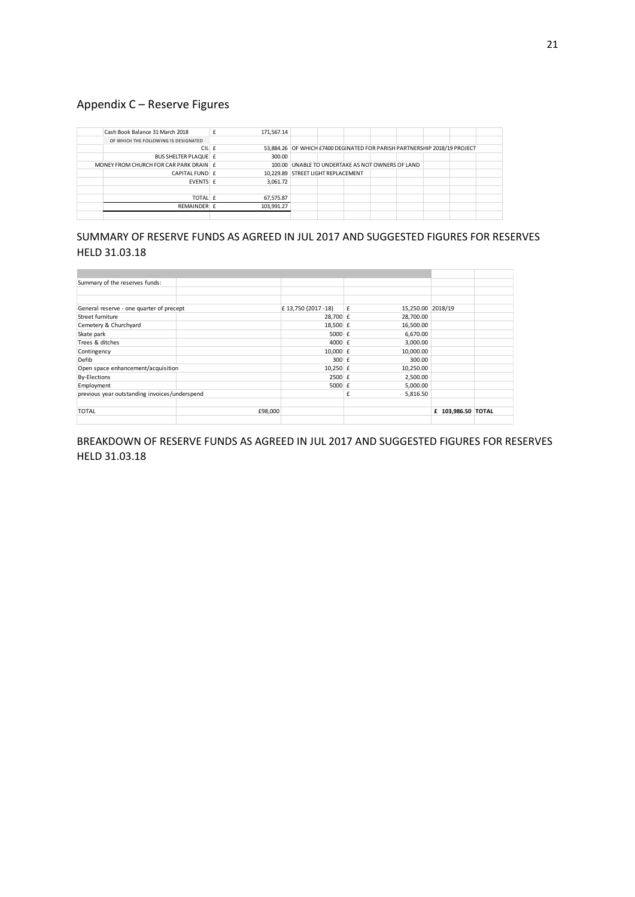## Appendix C – Reserve Figures

|                                      | Cash Book Balance 31 March 2018        |  | 171,567.14                                                                |                                                  |  |  |  |  |  |
|--------------------------------------|----------------------------------------|--|---------------------------------------------------------------------------|--------------------------------------------------|--|--|--|--|--|
| OF WHICH THE FOLLOWING IS DESIGNATED |                                        |  |                                                                           |                                                  |  |  |  |  |  |
|                                      | CIL £                                  |  | 53,884.26 OF WHICH £7400 DEGINATED FOR PARISH PARTNERSHIP 2018/19 PROJECT |                                                  |  |  |  |  |  |
|                                      | BUS SHELTER PLAQUE E                   |  | 300.00                                                                    |                                                  |  |  |  |  |  |
|                                      | MONEY FROM CHURCH FOR CAR PARK DRAIN E |  |                                                                           | 100.00 UNABLE TO UNDERTAKE AS NOT OWNERS OF LAND |  |  |  |  |  |
|                                      | CAPITAL FUND E                         |  | 10,229.89 STREET LIGHT REPLACEMENT                                        |                                                  |  |  |  |  |  |
|                                      | EVENTS £                               |  | 3,061.72                                                                  |                                                  |  |  |  |  |  |
|                                      |                                        |  |                                                                           |                                                  |  |  |  |  |  |
|                                      | TOTAL £                                |  | 67,575.87                                                                 |                                                  |  |  |  |  |  |
|                                      | RFMAINDFR f                            |  | 103,991.27                                                                |                                                  |  |  |  |  |  |
|                                      |                                        |  |                                                                           |                                                  |  |  |  |  |  |

### SUMMARY OF RESERVE FUNDS AS AGREED IN JUL 2017 AND SUGGESTED FIGURES FOR RESERVES HELD 31.03.18

| Summary of the reserves funds:                |         |                     |   |                   |                    |  |
|-----------------------------------------------|---------|---------------------|---|-------------------|--------------------|--|
|                                               |         |                     |   |                   |                    |  |
|                                               |         |                     |   |                   |                    |  |
| General reserve - one quarter of precept      |         | £ 13,750 (2017 -18) | £ | 15,250.00 2018/19 |                    |  |
| Street furniture                              |         | 28,700 £            |   | 28,700.00         |                    |  |
| Cemetery & Churchyard                         |         | 18,500 £            |   | 16,500.00         |                    |  |
| Skate park                                    |         | 5000 $E$            |   | 6,670.00          |                    |  |
| Trees & ditches                               |         | 4000 £              |   | 3,000.00          |                    |  |
| Contingency                                   |         | 10,000 $E$          |   | 10,000.00         |                    |  |
| Defib                                         |         | $300$ $E$           |   | 300.00            |                    |  |
| Open space enhancement/acquisition            |         | $10,250$ £          |   | 10,250.00         |                    |  |
| <b>By-Elections</b>                           |         | $2500 \text{ f}$    |   | 2,500.00          |                    |  |
| Employment                                    |         | 5000 $E$            |   | 5,000.00          |                    |  |
| previous year outstanding invoices/underspend |         |                     | £ | 5,816.50          |                    |  |
|                                               |         |                     |   |                   |                    |  |
| <b>TOTAL</b>                                  | £98,000 |                     |   |                   | £ 103,986.50 TOTAL |  |
|                                               |         |                     |   |                   |                    |  |

### BREAKDOWN OF RESERVE FUNDS AS AGREED IN JUL 2017 AND SUGGESTED FIGURES FOR RESERVES HELD 31.03.18